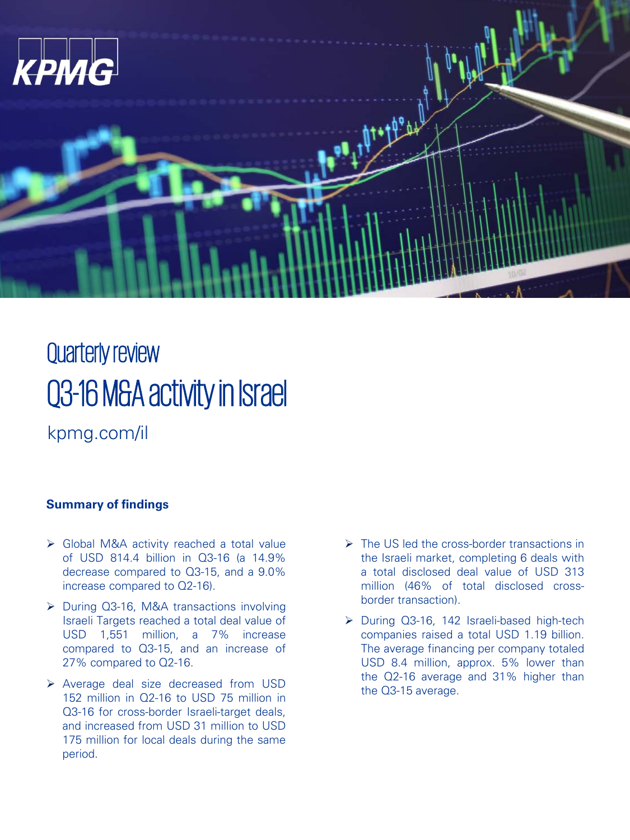

# Quarterly review Q3-16 M&A activity in Israel

kpmg.com/il

#### **Summary of findings**

- ▶ Global M&A activity reached a total value of USD 814.4 billion in Q3-16 (a 14.9% decrease compared to Q3-15, and a 9.0% increase compared to Q2-16).
- ▶ During Q3-16, M&A transactions involving Israeli Targets reached a total deal value of USD 1,551 million, a 7% increase compared to Q3-15, and an increase of 27% compared to Q2-16.
- Average deal size decreased from USD 152 million in Q2-16 to USD 75 million in Q3-16 for cross-border Israeli-target deals, and increased from USD 31 million to USD 175 million for local deals during the same period.
- $\triangleright$  The US led the cross-border transactions in the Israeli market, completing 6 deals with a total disclosed deal value of USD 313 million (46% of total disclosed crossborder transaction).
- ▶ During Q3-16, 142 Israeli-based high-tech companies raised a total USD 1.19 billion. The average financing per company totaled USD 8.4 million, approx. 5% lower than the Q2-16 average and 31% higher than the Q3-15 average.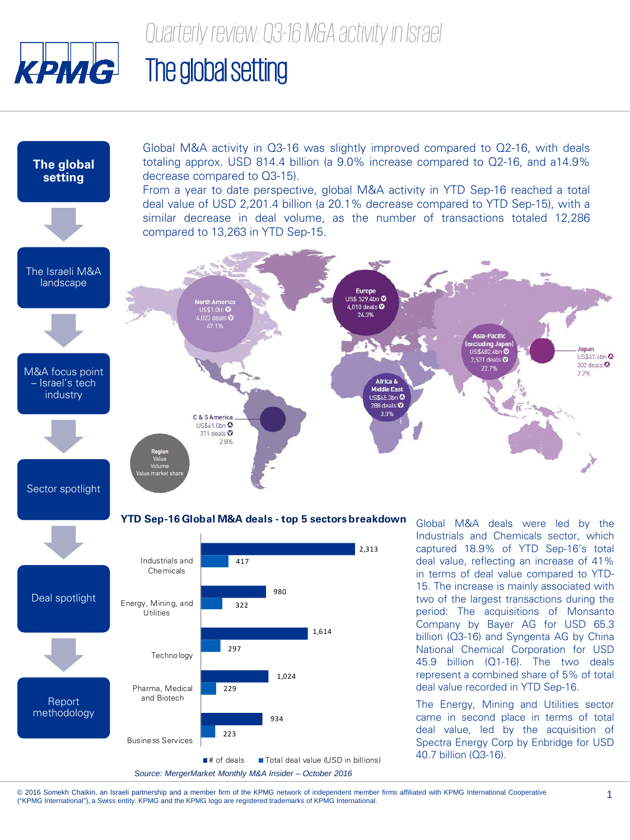

## The global setting



© 2016 Somekh Chaikin, an Israeli partnership and a member firm of the KPMG network of independent member firms affiliated with KPMG International Cooperative © 2016 Somekh Chaikin, an Israeli partnership and a member firm of the KPMG network of independent member firms affiliated with KPMG International Cooperative 1999 of the reading and the KPMG International. 2000 internatio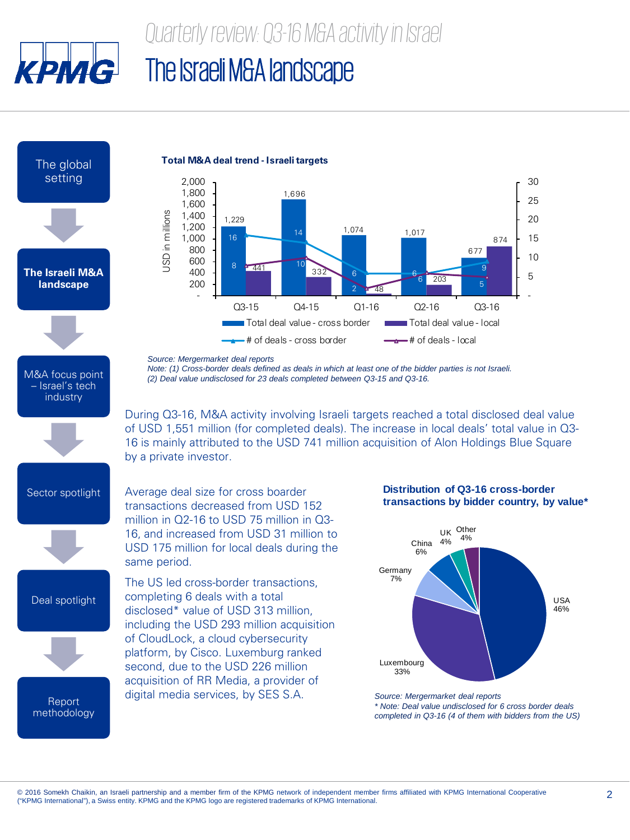

### The Israeli M&A landscape

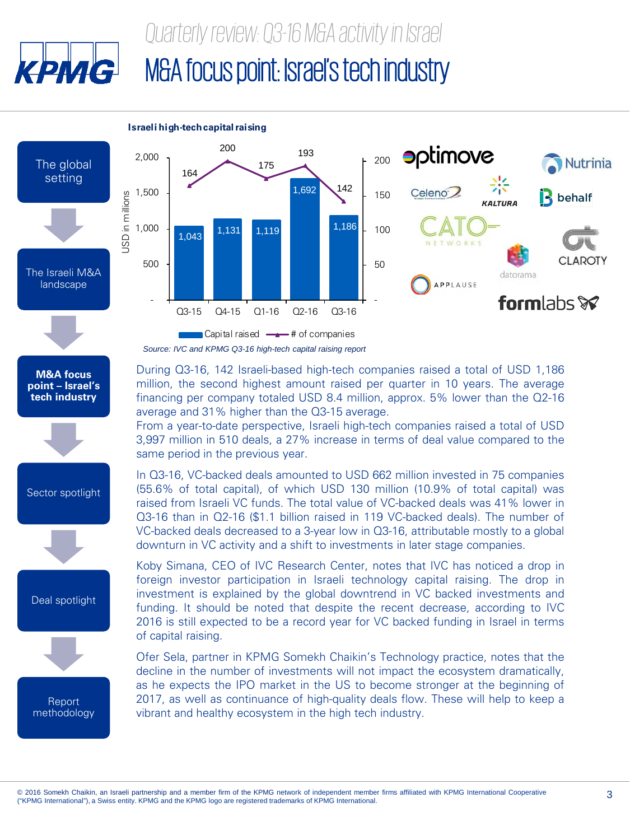

Sector spotlight

Deal spotlight

**Report** methodology



(55.6% of total capital), of which USD 130 million (10.9% of total capital) was raised from Israeli VC funds. The total value of VC-backed deals was 41% lower in Q3-16 than in Q2-16 (\$1.1 billion raised in 119 VC-backed deals). The number of VC-backed deals decreased to a 3-year low in Q3-16, attributable mostly to a global downturn in VC activity and a shift to investments in later stage companies.

Koby Simana, CEO of IVC Research Center, notes that IVC has noticed a drop in foreign investor participation in Israeli technology capital raising. The drop in investment is explained by the global downtrend in VC backed investments and funding. It should be noted that despite the recent decrease, according to IVC 2016 is still expected to be a record year for VC backed funding in Israel in terms of capital raising.

Ofer Sela, partner in KPMG Somekh Chaikin's Technology practice, notes that the decline in the number of investments will not impact the ecosystem dramatically, as he expects the IPO market in the US to become stronger at the beginning of 2017, as well as continuance of high-quality deals flow. These will help to keep a vibrant and healthy ecosystem in the high tech industry.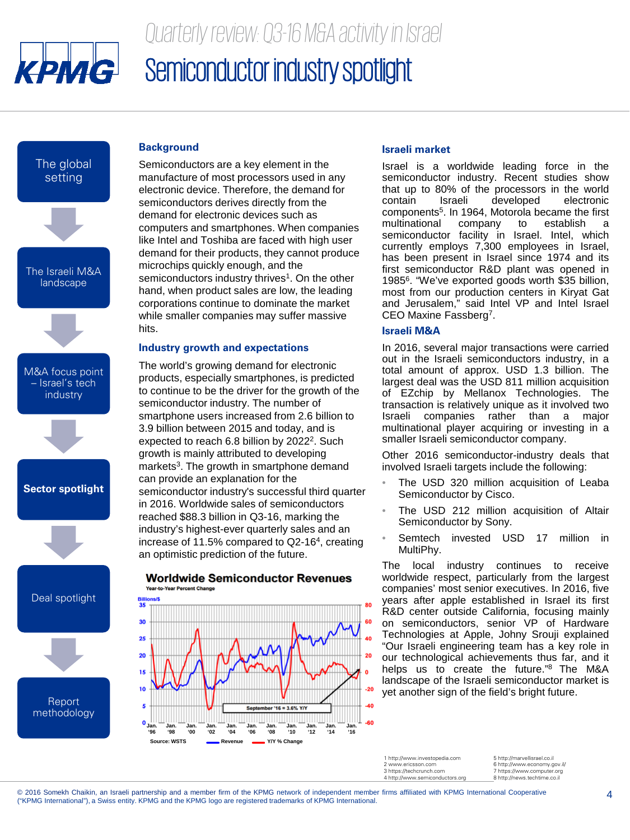![](_page_4_Picture_0.jpeg)

### *Quarterly review: Q3-16 M&A activity in Israel* Semiconductor industry spotlight

The global setting

![](_page_4_Figure_3.jpeg)

![](_page_4_Figure_4.jpeg)

**Report** methodology

#### **Background**

Semiconductors are a key element in the manufacture of most processors used in any electronic device. Therefore, the demand for semiconductors derives directly from the demand for electronic devices such as computers and smartphones. When companies like Intel and Toshiba are faced with high user demand for their products, they cannot produce microchips quickly enough, and the semiconductors industry thrives<sup>1</sup>. On the other hand, when product sales are low, the leading corporations continue to dominate the market while smaller companies may suffer massive hits.

#### **Industry growth and expectations**

The world's growing demand for electronic products, especially smartphones, is predicted to continue to be the driver for the growth of the semiconductor industry. The number of smartphone users increased from 2.6 billion to 3.9 billion between 2015 and today, and is expected to reach 6.8 billion by 2022<sup>2</sup>. Such growth is mainly attributed to developing markets<sup>3</sup>. The growth in smartphone demand can provide an explanation for the semiconductor industry's successful third quarter in 2016. Worldwide sales of semiconductors reached \$88.3 billion in Q3-16, marking the industry's highest-ever quarterly sales and an increase of 11.5% compared to Q2-164, creating an optimistic prediction of the future.

![](_page_4_Figure_9.jpeg)

#### **Worldwide Semiconductor Revenues Year-to-Year Percent Chang**

#### **Israeli market**

Israel is a worldwide leading force in the semiconductor industry. Recent studies show that up to 80% of the processors in the world<br>contain straeli developed electronic developed components<sup>5</sup>. In 1964, Motorola became the first multinational company to establish a semiconductor facility in Israel. Intel, which currently employs 7,300 employees in Israel, has been present in Israel since 1974 and its first semiconductor R&D plant was opened in 19856. "We've exported goods worth \$35 billion, most from our production centers in Kiryat Gat and Jerusalem," said Intel VP and Intel Israel CEO Maxine Fassberg7.

#### **Israeli M&A**

In 2016, several major transactions were carried out in the Israeli semiconductors industry, in a total amount of approx. USD 1.3 billion. The largest deal was the USD 811 million acquisition of EZchip by Mellanox Technologies. The transaction is relatively unique as it involved two Israeli companies rather than a major multinational player acquiring or investing in a smaller Israeli semiconductor company.

Other 2016 semiconductor-industry deals that involved Israeli targets include the following:

- The USD 320 million acquisition of Leaba Semiconductor by Cisco.
- The USD 212 million acquisition of Altair Semiconductor by Sony.
- Semtech invested USD 17 million in MultiPhy.

The local industry continues to receive worldwide respect, particularly from the largest companies' most senior executives. In 2016, five years after apple established in Israel its first R&D center outside California, focusing mainly on semiconductors, senior VP of Hardware Technologies at Apple, Johny Srouji explained "Our Israeli engineering team has a key role in our technological achievements thus far, and it helps us to create the future."8 The M&A landscape of the Israeli semiconductor market is yet another sign of the field's bright future.

1 http://www.investopedia.com www.ericsson.con 3 https://techcrunch.com 4 http://www.semiconductors.org

5 http://marvellisrael.co.il 6 http://www.economy.gov.il/ 7 https://www.computer.org<br>8 http://news.techtime.co.il 8 http://news.techti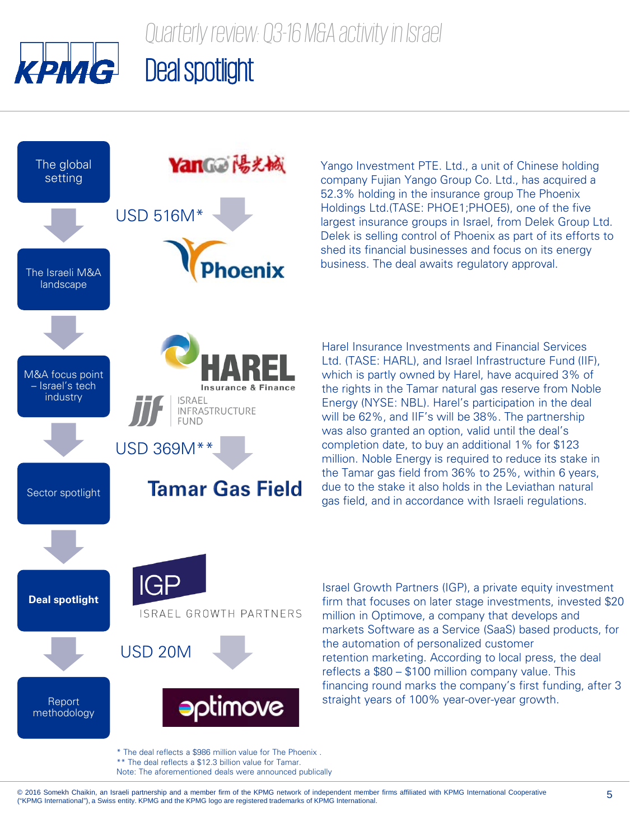![](_page_5_Picture_0.jpeg)

### YanGa 陽光械 The global setting USD 516M\* nenix The Israeli M&A landscape M&A focus point – Israel's tech Insurance & Finance industry **ISRAEL** INFRASTRUCTURE **FUND** USD 369M\*\* **Tamar Gas Field** Sector spotlight **IGF Deal spotlight** ISRAEL GROWTH PARTNERS USD 20M **aptimove** Report methodology

Yango Investment PTE. Ltd., a unit of Chinese holding company Fujian Yango Group Co. Ltd., has acquired a 52.3% holding in the insurance group The Phoenix Holdings Ltd.(TASE: PHOE1;PHOE5), one of the five largest insurance groups in Israel, from Delek Group Ltd. Delek is selling control of Phoenix as part of its efforts to shed its financial businesses and focus on its energy business. The deal awaits regulatory approval.

Harel Insurance Investments and Financial Services Ltd. (TASE: HARL), and Israel Infrastructure Fund (IIF), which is partly owned by Harel, have acquired 3% of the rights in the Tamar natural gas reserve from Noble Energy (NYSE: NBL). Harel's participation in the deal will be 62%, and IIF's will be 38%. The partnership was also granted an option, valid until the deal's completion date, to buy an additional 1% for \$123 million. Noble Energy is required to reduce its stake in the Tamar gas field from 36% to 25%, within 6 years, due to the stake it also holds in the Leviathan natural gas field, and in accordance with Israeli regulations.

Israel Growth Partners (IGP), a private equity investment firm that focuses on later stage investments, invested \$20 million in Optimove, a company that develops and markets Software as a Service (SaaS) based products, for the automation of personalized customer retention marketing. According to local press, the deal reflects a \$80 – \$100 million company value. This financing round marks the company's first funding, after 3 straight years of 100% year-over-year growth.

\* The deal reflects a \$986 million value for The Phoenix . \*\* The deal reflects a \$12.3 billion value for Tamar. Note: The aforementioned deals were announced publically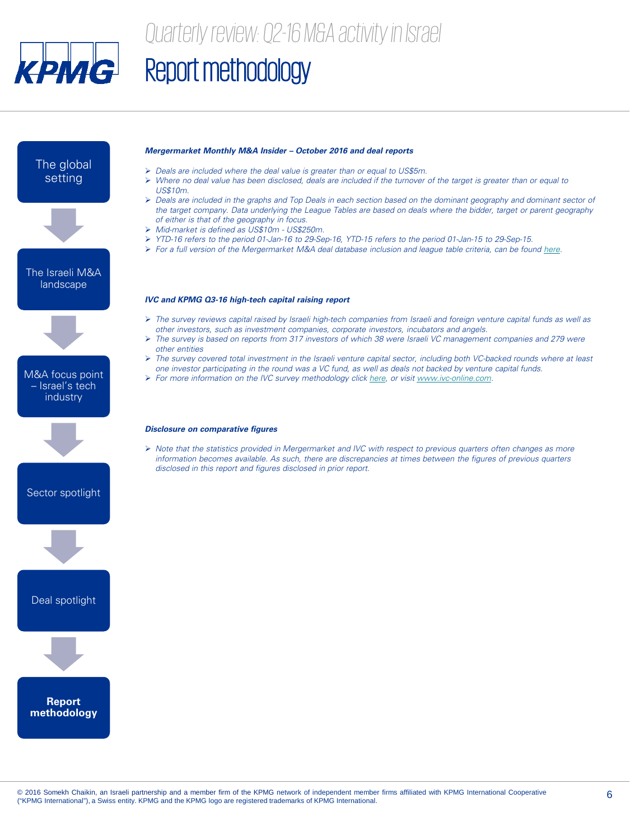![](_page_6_Picture_0.jpeg)

### *Quarterly review: Q2-16 M&A activity in Israel*

## Report methodology

![](_page_6_Figure_3.jpeg)